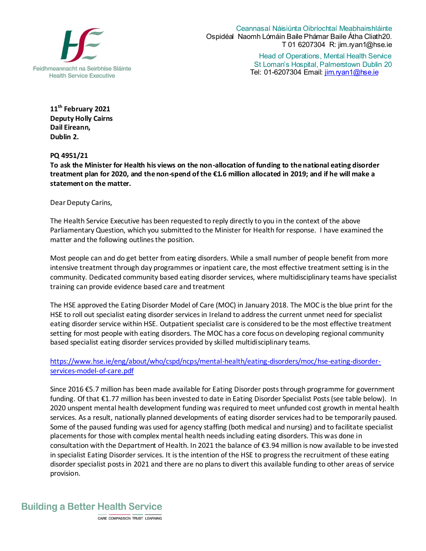

Ceannasaí Náisiúnta Oibríochtaí Meabhairshláinte Ospidéal Naomh Lómáin Baile Phámar Baile Átha Cliath20. T 01 6207304 R: jim.ryan1@hse.ie

Head of Operations, Mental Health Service St Loman's Hospital, Palmerstown Dublin 20 Tel: 01-6207304 Email: jim.ryan1@hse.ie

**11 th February 2021 Deputy Holly Cairns Dail Eireann, Dublin 2.** 

**PQ 4951/21**

**To ask the Minister for Health his views on the non-allocation of funding to the national eating disorder treatment plan for 2020, and the non-spend of the €1.6 million allocated in 2019; and if he will make a statement on the matter.**

Dear Deputy Carins,

The Health Service Executive has been requested to reply directly to you in the context of the above Parliamentary Question, which you submitted to the Minister for Health for response. I have examined the matter and the following outlines the position.

Most people can and do get better from eating disorders. While a small number of people benefit from more intensive treatment through day programmes or inpatient care, the most effective treatment setting is in the community. Dedicated community based eating disorder services, where multidisciplinary teams have specialist training can provide evidence based care and treatment

The HSE approved the Eating Disorder Model of Care (MOC) in January 2018. The MOC is the blue print for the HSE to roll out specialist eating disorder services in Ireland to address the current unmet need for specialist eating disorder service within HSE. Outpatient specialist care is considered to be the most effective treatment setting for most people with eating disorders. The MOC has a core focus on developing regional community based specialist eating disorder services provided by skilled multidisciplinary teams.

[https://www.hse.ie/eng/about/who/cspd/ncps/mental-health/eating-disorders/moc/hse-eating-disorder](https://www.hse.ie/eng/about/who/cspd/ncps/mental-health/eating-disorders/moc/hse-eating-disorder-services-model-of-care.pdf)[services-model-of-care.pdf](https://www.hse.ie/eng/about/who/cspd/ncps/mental-health/eating-disorders/moc/hse-eating-disorder-services-model-of-care.pdf)

Since 2016 €5.7 million has been made available for Eating Disorder posts through programme for government funding. Of that €1.77 million has been invested to date in Eating Disorder Specialist Posts (see table below). In 2020 unspent mental health development funding was required to meet unfunded cost growth in mental health services. As a result, nationally planned developments of eating disorder services had to be temporarily paused. Some of the paused funding was used for agency staffing (both medical and nursing) and to facilitate specialist placements for those with complex mental health needs including eating disorders. This was done in consultation with the Department of Health. In 2021 the balance of €3.94 million is now available to be invested in specialist Eating Disorder services. It is the intention of the HSE to progress the recruitment of these eating disorder specialist posts in 2021 and there are no plans to divert this available funding to other areas of service provision.

**Building a Better Health Service** 

CARE COMPASSION TRUST LEARNING